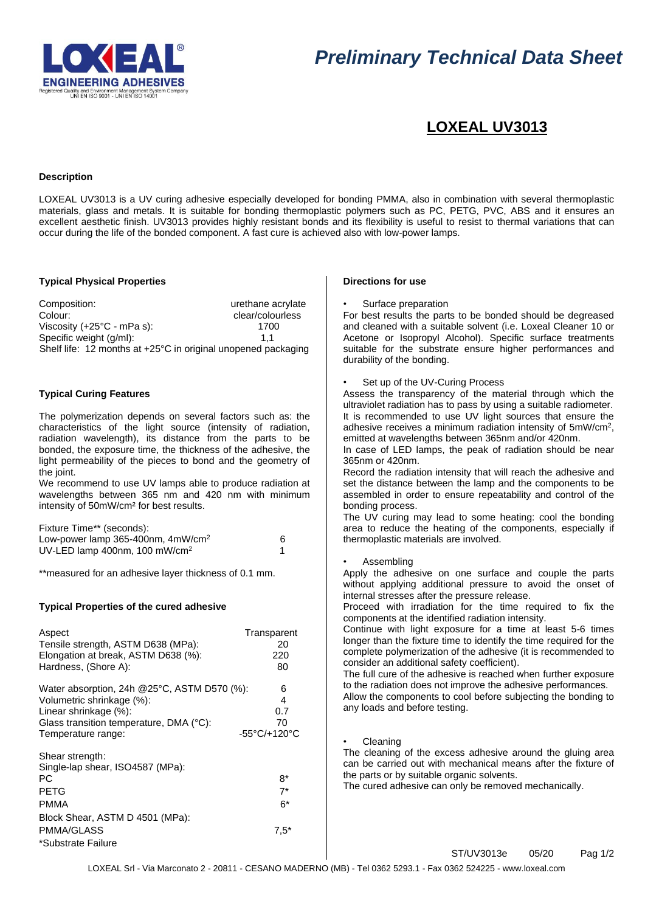

# *Preliminary Technical Data Sheet*

# **LOXEAL UV3013**

# **Description**

LOXEAL UV3013 is a UV curing adhesive especially developed for bonding PMMA, also in combination with several thermoplastic materials, glass and metals. It is suitable for bonding thermoplastic polymers such as PC, PETG, PVC, ABS and it ensures an excellent aesthetic finish. UV3013 provides highly resistant bonds and its flexibility is useful to resist to thermal variations that can occur during the life of the bonded component. A fast cure is achieved also with low-power lamps.

# **Typical Physical Properties**

Composition: Composition: urethane acrylate Colour: clear/colourless<br>Viscosity (+25°C - mPa s): clear/colourless<br>1700 Viscosity (+25°C - mPa s): Specific weight (g/ml): 1,1 Shelf life: 12 months at +25°C in original unopened packaging

# **Typical Curing Features**

The polymerization depends on several factors such as: the characteristics of the light source (intensity of radiation, radiation wavelength), its distance from the parts to be bonded, the exposure time, the thickness of the adhesive, the light permeability of the pieces to bond and the geometry of the joint.

We recommend to use UV lamps able to produce radiation at wavelengths between 365 nm and 420 nm with minimum intensity of 50mW/cm² for best results.

| Fixture Time** (seconds):                     |  |
|-----------------------------------------------|--|
| Low-power lamp 365-400nm, 4mW/cm <sup>2</sup> |  |
| UV-LED lamp 400nm, 100 mW/cm <sup>2</sup>     |  |

\*\*measured for an adhesive layer thickness of 0.1 mm.

# **Typical Properties of the cured adhesive**

| Aspect                                                                                                                                                         | Transparent                   |
|----------------------------------------------------------------------------------------------------------------------------------------------------------------|-------------------------------|
| Tensile strength, ASTM D638 (MPa):                                                                                                                             | 20                            |
| Elongation at break, ASTM D638 (%):                                                                                                                            | 220                           |
| Hardness, (Shore A):                                                                                                                                           | 80                            |
| Water absorption, 24h @25°C, ASTM D570 (%):                                                                                                                    | 6                             |
| Volumetric shrinkage (%):                                                                                                                                      | 4                             |
| Linear shrinkage (%):                                                                                                                                          | 0.7                           |
| Glass transition temperature, DMA (°C):                                                                                                                        | 70                            |
| Temperature range:                                                                                                                                             | -55°C/+120°C                  |
| Shear strength:<br>Single-lap shear, ISO4587 (MPa):<br>РC<br><b>PETG</b><br><b>PMMA</b><br>Block Shear, ASTM D 4501 (MPa):<br>PMMA/GLASS<br>*Substrate Failure | $8*$<br>$7^*$<br>6*<br>$7,5*$ |

#### **Directions for use**

Surface preparation

For best results the parts to be bonded should be degreased and cleaned with a suitable solvent (i.e. Loxeal Cleaner 10 or Acetone or Isopropyl Alcohol). Specific surface treatments suitable for the substrate ensure higher performances and durability of the bonding.

#### Set up of the UV-Curing Process

Assess the transparency of the material through which the ultraviolet radiation has to pass by using a suitable radiometer. It is recommended to use UV light sources that ensure the adhesive receives a minimum radiation intensity of 5mW/cm<sup>2</sup>, emitted at wavelengths between 365nm and/or 420nm.

In case of LED lamps, the peak of radiation should be near 365nm or 420nm.

Record the radiation intensity that will reach the adhesive and set the distance between the lamp and the components to be assembled in order to ensure repeatability and control of the bonding process.

The UV curing may lead to some heating: cool the bonding area to reduce the heating of the components, especially if thermoplastic materials are involved.

**Assembling** 

Apply the adhesive on one surface and couple the parts without applying additional pressure to avoid the onset of internal stresses after the pressure release.

Proceed with irradiation for the time required to fix the components at the identified radiation intensity.

Continue with light exposure for a time at least 5-6 times longer than the fixture time to identify the time required for the complete polymerization of the adhesive (it is recommended to consider an additional safety coefficient).

The full cure of the adhesive is reached when further exposure to the radiation does not improve the adhesive performances. Allow the components to cool before subjecting the bonding to any loads and before testing.

#### • Cleaning

The cleaning of the excess adhesive around the gluing area can be carried out with mechanical means after the fixture of the parts or by suitable organic solvents.

The cured adhesive can only be removed mechanically.

ST/UV3013e 05/20 Pag 1/2